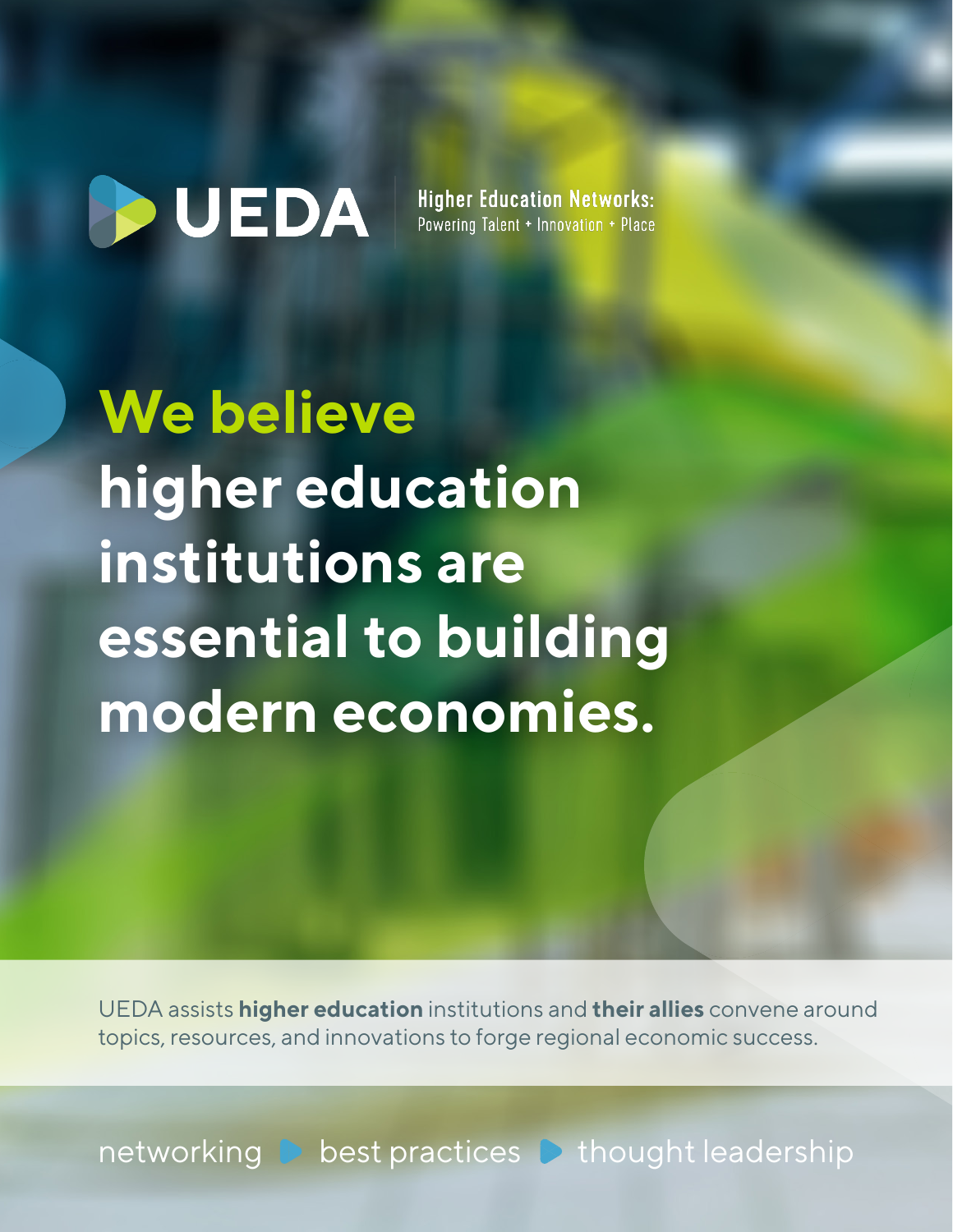# **D**UEDA

**Higher Education Networks:** Powering Talent + Innovation + Place

**We believe higher education institutions are essential to building modern economies.**

UEDA assists **higher education** institutions and **their allies** convene around topics, resources, and innovations to forge regional economic success.

networking **best practices b** thought leadership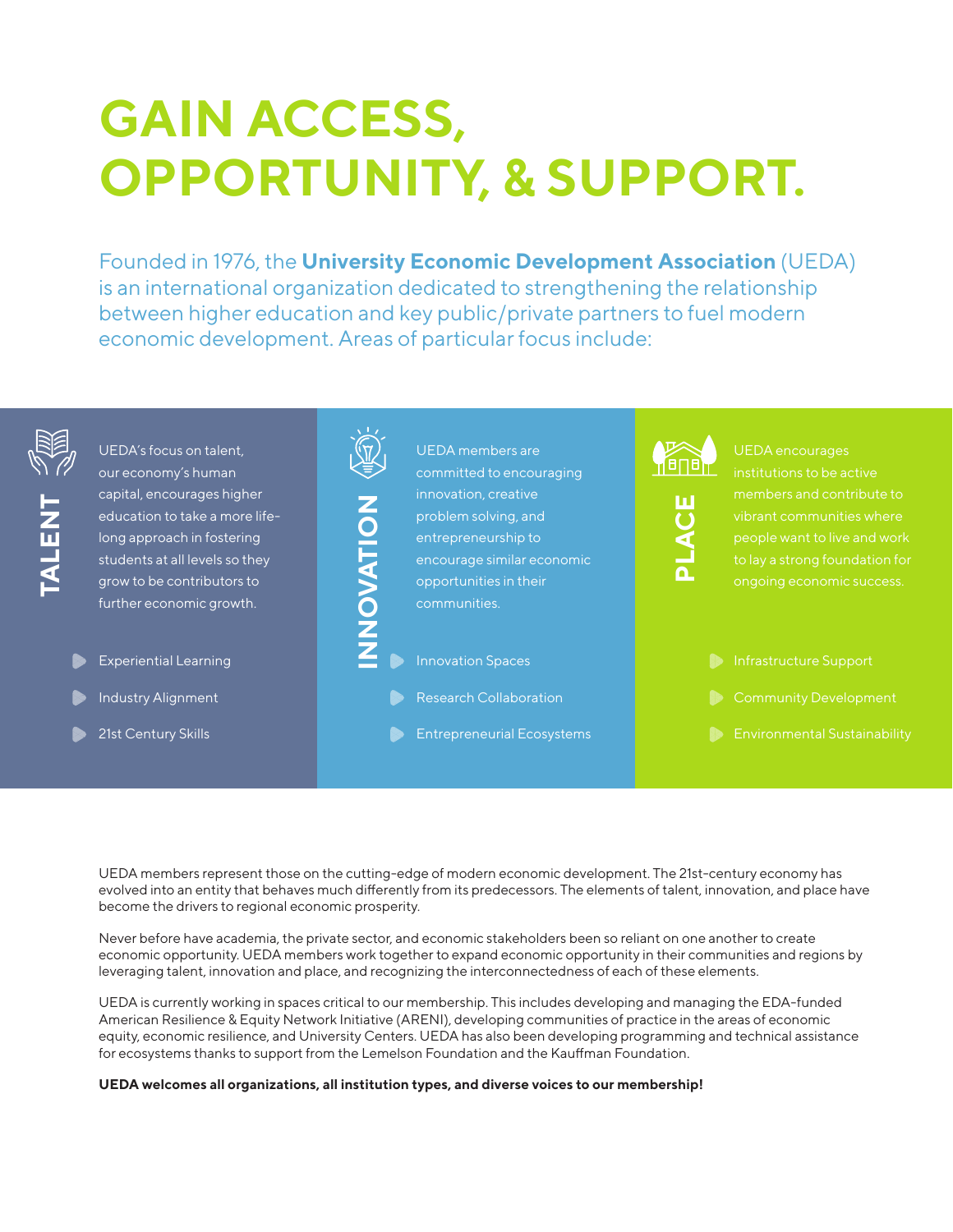# **GAIN ACCESS, OPPORTUNITY, & SUPPORT.**

Founded in 1976, the **University Economic Development Association** (UEDA) is an international organization dedicated to strengthening the relationship between higher education and key public/private partners to fuel modern economic development. Areas of particular focus include:



UEDA members represent those on the cutting-edge of modern economic development. The 21st-century economy has evolved into an entity that behaves much differently from its predecessors. The elements of talent, innovation, and place have become the drivers to regional economic prosperity.

Never before have academia, the private sector, and economic stakeholders been so reliant on one another to create economic opportunity. UEDA members work together to expand economic opportunity in their communities and regions by leveraging talent, innovation and place, and recognizing the interconnectedness of each of these elements.

UEDA is currently working in spaces critical to our membership. This includes developing and managing the EDA-funded American Resilience & Equity Network Initiative (ARENI), developing communities of practice in the areas of economic equity, economic resilience, and University Centers. UEDA has also been developing programming and technical assistance for ecosystems thanks to support from the Lemelson Foundation and the Kauffman Foundation.

#### **UEDA welcomes all organizations, all institution types, and diverse voices to our membership!**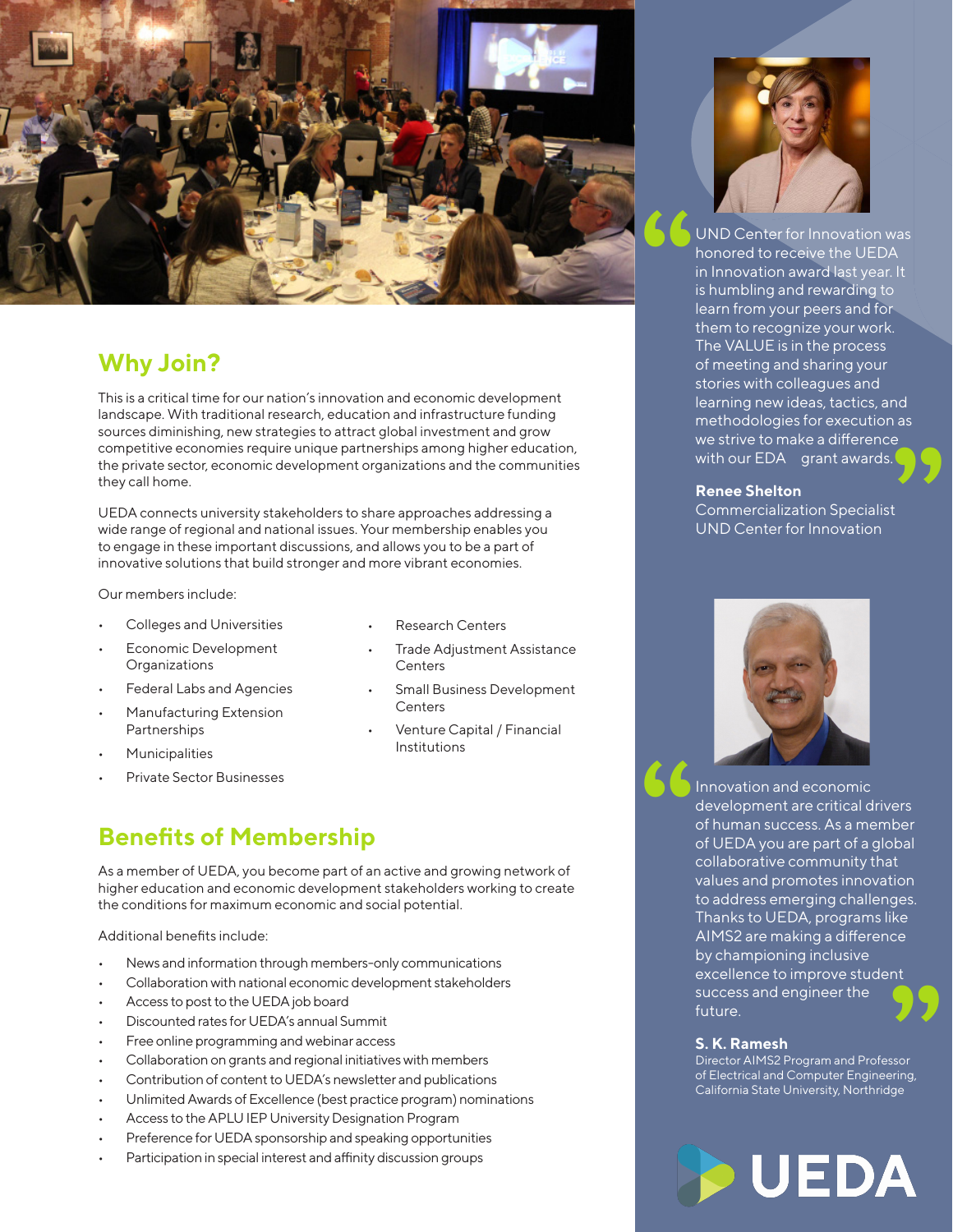

## **Why Join?**

This is a critical time for our nation's innovation and economic development landscape. With traditional research, education and infrastructure funding sources diminishing, new strategies to attract global investment and grow competitive economies require unique partnerships among higher education, the private sector, economic development organizations and the communities they call home.

UEDA connects university stakeholders to share approaches addressing a wide range of regional and national issues. Your membership enables you to engage in these important discussions, and allows you to be a part of innovative solutions that build stronger and more vibrant economies.

Our members include:

- Colleges and Universities
- Economic Development **Organizations**
- Federal Labs and Agencies
- Manufacturing Extension Partnerships
- **Municipalities**
- Private Sector Businesses
- Research Centers
- Trade Adjustment Assistance **Centers**
- Small Business Development **Centers**
- Venture Capital / Financial Institutions

### **Benefits of Membership**

As a member of UEDA, you become part of an active and growing network of higher education and economic development stakeholders working to create the conditions for maximum economic and social potential.

Additional benefits include:

- News and information through members-only communications
- Collaboration with national economic development stakeholders
- Access to post to the UEDA job board
- Discounted rates for UEDA's annual Summit
- Free online programming and webinar access
- Collaboration on grants and regional initiatives with members
- Contribution of content to UEDA's newsletter and publications
- Unlimited Awards of Excellence (best practice program) nominations
- Access to the APLU IEP University Designation Program
- Preference for UEDA sponsorship and speaking opportunities
- Participation in special interest and affinity discussion groups



UND Center for Innovation was honored to receive the UEDA in Innovation award last year. It is humbling and rewarding to learn from your peers and for them to recognize your work. The VALUE is in the process of meeting and sharing your stories with colleagues and learning new ideas, tactics, and methodologies for execution as we strive to make a difference with our EDA grant awards. **as**<br>**99** 

#### **Renee Shelton**

Commercialization Specialist UND Center for Innovation



Innovation and economic development are critical drivers of human success. As a member of UEDA you are part of a global collaborative community that values and promotes innovation to address emerging challenges. Thanks to UEDA, programs like AIMS2 are making a difference by championing inclusive excellence to improve student success and engineer the future. **" "**

#### **S. K. Ramesh**

Director AIMS2 Program and Professor of Electrical and Computer Engineering, California State University, Northridge